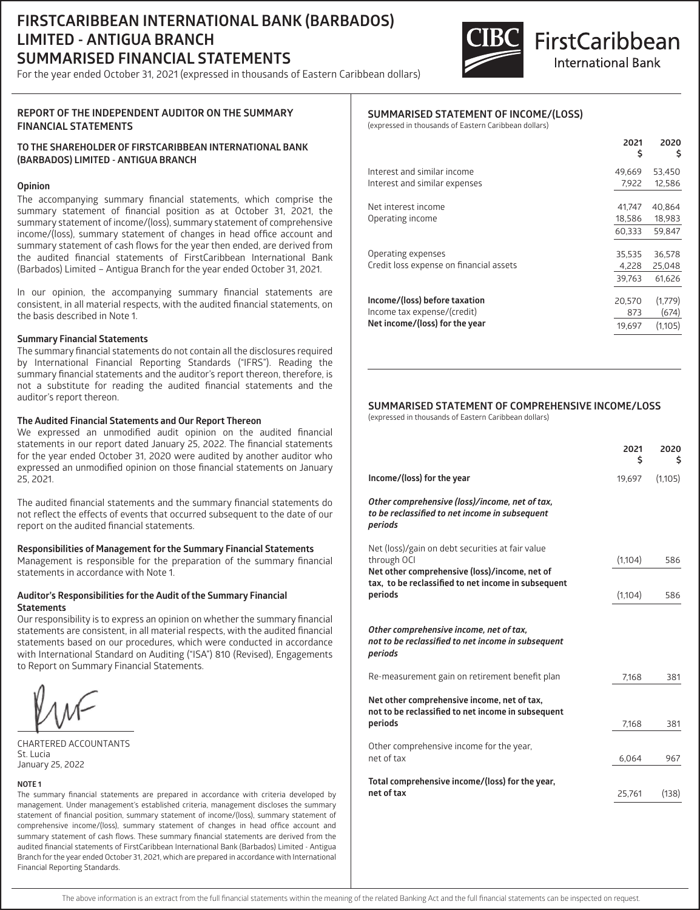## **FIRSTCARIBBEAN INTERNATIONAL BANK (BARBADOS) LIMITED - ANTIGUA BRANCH SUMMARISED FINANCIAL STATEMENTS**

For the year ended October 31, 2021 (expressed in thousands of Eastern Caribbean dollars)



# **FirstCaribbean International Bank**

#### **REPORT OF THE INDEPENDENT AUDITOR ON THE SUMMARY FINANCIAL STATEMENTS**

#### **TO THE SHAREHOLDER OF FIRSTCARIBBEAN INTERNATIONAL BANK (BARBADOS) LIMITED - ANTIGUA BRANCH**

#### **Opinion**

The accompanying summary financial statements, which comprise the summary statement of financial position as at October 31, 2021, the summary statement of income/(loss), summary statement of comprehensive income/(loss), summary statement of changes in head office account and summary statement of cash flows for the year then ended, are derived from the audited financial statements of FirstCaribbean International Bank (Barbados) Limited – Antigua Branch for the year ended October 31, 2021.

In our opinion, the accompanying summary financial statements are consistent, in all material respects, with the audited financial statements, on the basis described in Note 1.

#### **Summary Financial Statements**

The summary financial statements do not contain all the disclosures required by International Financial Reporting Standards ("IFRS"). Reading the summary financial statements and the auditor's report thereon, therefore, is not a substitute for reading the audited financial statements and the auditor's report thereon.

#### **The Audited Financial Statements and Our Report Thereon**

We expressed an unmodified audit opinion on the audited financial statements in our report dated January 25, 2022. The financial statements for the year ended October 31, 2020 were audited by another auditor who expressed an unmodified opinion on those financial statements on January 25, 2021.

The audited financial statements and the summary financial statements do not reflect the effects of events that occurred subsequent to the date of our report on the audited financial statements.

#### **Responsibilities of Management for the Summary Financial Statements**

Management is responsible for the preparation of the summary financial statements in accordance with Note 1.

#### **Auditor's Responsibilities for the Audit of the Summary Financial Statements**

Our responsibility is to express an opinion on whether the summary financial statements are consistent, in all material respects, with the audited financial statements based on our procedures, which were conducted in accordance with International Standard on Auditing ("ISA") 810 (Revised), Engagements to Report on Summary Financial Statements.

CHARTERED ACCOUNTANTS St. Lucia January 25, 2022

#### **NOTE 1**

The summary financial statements are prepared in accordance with criteria developed by management. Under management's established criteria, management discloses the summary statement of financial position, summary statement of income/(loss), summary statement of comprehensive income/(loss), summary statement of changes in head office account and summary statement of cash flows. These summary financial statements are derived from the audited financial statements of FirstCaribbean International Bank (Barbados) Limited - Antigua Branch for the year ended October 31, 2021, which are prepared in accordance with International Financial Reporting Standards.

#### **SUMMARISED STATEMENT OF INCOME/(LOSS)**

(expressed in thousands of Eastern Caribbean dollars)

|                                                               | 2021<br>\$      | 2020<br>\$       |
|---------------------------------------------------------------|-----------------|------------------|
| Interest and similar income                                   | 49,669          | 53,450           |
| Interest and similar expenses                                 | 7.922           | 12,586           |
| Net interest income                                           | 41.747          | 40.864           |
| Operating income                                              | 18,586          | 18,983           |
|                                                               | 60,333          | 59,847           |
| Operating expenses<br>Credit loss expense on financial assets | 35.535          | 36.578           |
|                                                               | 4.228<br>39.763 | 25,048<br>61.626 |
| Income/(loss) before taxation<br>Income tax expense/(credit)  | 20.570<br>873   | (1,779)<br>(674) |
| Net income/(loss) for the year                                | 19,697          | (1.105)          |
|                                                               |                 |                  |

### **SUMMARISED STATEMENT OF COMPREHENSIVE INCOME/LOSS**

(expressed in thousands of Eastern Caribbean dollars)

|                                                                                                                  | 2021<br>Ś | 2020<br>s |
|------------------------------------------------------------------------------------------------------------------|-----------|-----------|
| Income/(loss) for the year                                                                                       | 19.697    | (1,105)   |
| Other comprehensive (loss)/income, net of tax,<br>to be reclassified to net income in subsequent<br>periods      |           |           |
| Net (loss)/gain on debt securities at fair value<br>through OCI<br>Net other comprehensive (loss)/income, net of | (1,104)   | 586       |
| tax, to be reclassified to net income in subsequent<br>periods                                                   | (1,104)   | 586       |
| Other comprehensive income, net of tax,<br>not to be reclassified to net income in subsequent<br>periods         |           |           |
| Re-measurement gain on retirement benefit plan                                                                   | 7,168     | 381       |
| Net other comprehensive income, net of tax,<br>not to be reclassified to net income in subsequent<br>periods     | 7,168     | 381       |
| Other comprehensive income for the year,<br>net of tax                                                           | 6,064     | 967       |
| Total comprehensive income/(loss) for the year,<br>net of tax                                                    | 25,761    | (138)     |